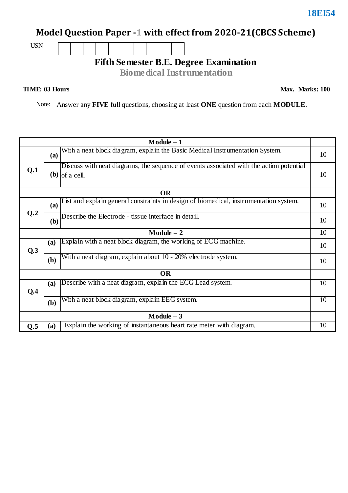# **Model Question Paper -1 with effect from 2020-21(CBCS Scheme)**

USN

# **Fifth Semester B.E. Degree Examination**

**Biomedical Instrumentation**

#### **TIME: 03 Hours**

**Max. Marks: 100**

Note: Answer any **FIVE** full questions, choosing at least **ONE** question from each **MODULE**.

|              |     | $Module - 1$                                                                                                |    |
|--------------|-----|-------------------------------------------------------------------------------------------------------------|----|
|              | (a) | With a neat block diagram, explain the Basic Medical Instrumentation System.                                | 10 |
| Q.1          |     | Discuss with neat diagrams, the sequence of events associated with the action potential<br>$(b)$ of a cell. | 10 |
|              |     | <b>OR</b>                                                                                                   |    |
|              | (a) | List and explain general constraints in design of biomedical, instrumentation system.                       | 10 |
| Q.2          | (b) | Describe the Electrode - tissue interface in detail.                                                        | 10 |
|              |     | $Module - 2$                                                                                                | 10 |
| Q.3          | (a) | Explain with a neat block diagram, the working of ECG machine.                                              | 10 |
|              | (b) | With a neat diagram, explain about 10 - 20% electrode system.                                               | 10 |
|              |     | <b>OR</b>                                                                                                   |    |
| Q.4          | (a) | Describe with a neat diagram, explain the ECG Lead system.                                                  | 10 |
|              | (b) | With a neat block diagram, explain EEG system.                                                              | 10 |
| $Module - 3$ |     |                                                                                                             |    |
| Q.5          | (a) | Explain the working of instantaneous heart rate meter with diagram.                                         | 10 |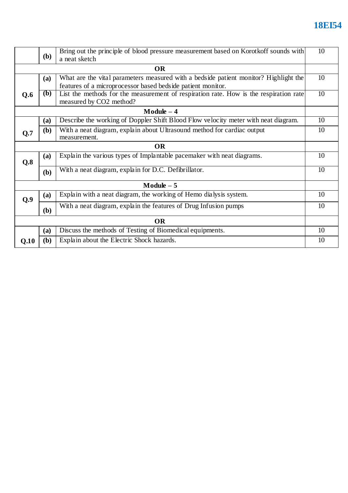# **18EI54**

|           | <b>(b)</b>   | Bring out the principle of blood pressure measurement based on Korotkoff sounds with<br>a neat sketch | 10 |
|-----------|--------------|-------------------------------------------------------------------------------------------------------|----|
|           |              | <b>OR</b>                                                                                             |    |
|           | (a)          | What are the vital parameters measured with a bedside patient monitor? Highlight the                  | 10 |
|           |              | features of a microprocessor based bedside patient monitor.                                           |    |
| Q.6       | <b>(b)</b>   | List the methods for the measurement of respiration rate. How is the respiration rate                 | 10 |
|           |              | measured by CO2 method?                                                                               |    |
|           |              | Module $-4$                                                                                           |    |
|           | <b>(a)</b>   | Describe the working of Doppler Shift Blood Flow velocity meter with neat diagram.                    | 10 |
| Q.7       | ( <b>b</b> ) | With a neat diagram, explain about Ultrasound method for cardiac output<br>measurement.               | 10 |
|           |              | <b>OR</b>                                                                                             |    |
| Q.8       | (a)          | Explain the various types of Implantable pacemaker with neat diagrams.                                | 10 |
|           | (b)          | With a neat diagram, explain for D.C. Defibrillator.                                                  | 10 |
|           |              | $Module - 5$                                                                                          |    |
| Q.9       | (a)          | Explain with a neat diagram, the working of Hemo dialysis system.                                     | 10 |
|           | (b)          | With a neat diagram, explain the features of Drug Infusion pumps                                      | 10 |
| <b>OR</b> |              |                                                                                                       |    |
|           | (a)          | Discuss the methods of Testing of Biomedical equipments.                                              | 10 |
| Q.10      | (b)          | Explain about the Electric Shock hazards.                                                             | 10 |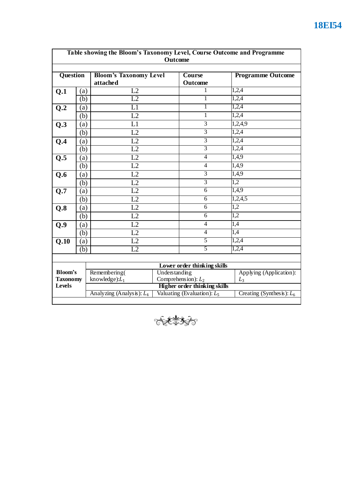|                           |     |                                                                                                                             | <b>Outcome</b>                         |                             |                          |  |
|---------------------------|-----|-----------------------------------------------------------------------------------------------------------------------------|----------------------------------------|-----------------------------|--------------------------|--|
| <b>Question</b>           |     | <b>Bloom's Taxonomy Level</b><br>attached                                                                                   |                                        | Course<br><b>Outcome</b>    | <b>Programme Outcome</b> |  |
| Q.1                       | (a) | L2                                                                                                                          |                                        | 1                           | 1,2,4                    |  |
|                           | (b) | L2                                                                                                                          |                                        | 1                           | 1,2,4                    |  |
| Q.2                       | (a) | $\overline{\text{L1}}$                                                                                                      |                                        | 1                           | 1,2,4                    |  |
|                           | (b) | L2                                                                                                                          |                                        | 1                           | 1,2,4                    |  |
| Q.3                       | (a) | L1                                                                                                                          |                                        | $\overline{3}$              | 1,2,4,9                  |  |
|                           | (b) | L2                                                                                                                          |                                        | $\overline{3}$              | 1,2,4                    |  |
| Q.4                       | (a) | L2                                                                                                                          |                                        | $\overline{3}$              | 1,2,4                    |  |
|                           | (b) | L2                                                                                                                          |                                        | 3                           | 1,2,4                    |  |
| Q.5                       | (a) | $\overline{L2}$                                                                                                             |                                        | 4                           | 1,4,9                    |  |
|                           | (b) | L2                                                                                                                          |                                        | $\overline{\mathcal{L}}$    | 1,4,9                    |  |
| Q.6                       | (a) | L2                                                                                                                          |                                        | $\overline{3}$              | 1,4,9                    |  |
|                           | (b) | L2                                                                                                                          |                                        | $\overline{3}$              | 1,2                      |  |
| $\overline{Q.7}$          | (a) | L2                                                                                                                          |                                        | $\overline{6}$              | 1,4,9                    |  |
|                           | (b) | $\overline{L2}$                                                                                                             |                                        | 6                           | 1,2,4,5                  |  |
| Q.8                       | (a) | L2                                                                                                                          |                                        | 6                           | 1,2                      |  |
|                           | (b) | L2                                                                                                                          |                                        | 6                           | $\overline{1,2}$         |  |
| Q.9                       | (a) | L2                                                                                                                          |                                        | $\overline{4}$              | 1,4                      |  |
|                           | (b) | L2                                                                                                                          |                                        | $\overline{4}$              | 1,4                      |  |
| Q.10                      | (a) | L2                                                                                                                          |                                        | 5                           | 1,2,4                    |  |
|                           | (b) | $\overline{L2}$                                                                                                             |                                        | 5                           | 1,2,4                    |  |
|                           |     |                                                                                                                             |                                        |                             |                          |  |
|                           |     |                                                                                                                             |                                        | Lower order thinking skills |                          |  |
| <b>Bloom's</b>            |     | Remembering(                                                                                                                | Understanding<br>Comprehension): $L_2$ |                             | Applying (Application):  |  |
| <b>Taxonomy</b><br>Levels |     | knowledge): $L_1$                                                                                                           | $L_3$                                  |                             |                          |  |
|                           |     | Higher order thinking skills<br>Valuating (Evaluation): $L_5$<br>Creating (Synthesis): $L_6$<br>Analyzing (Analysis): $L_4$ |                                        |                             |                          |  |

ELERGE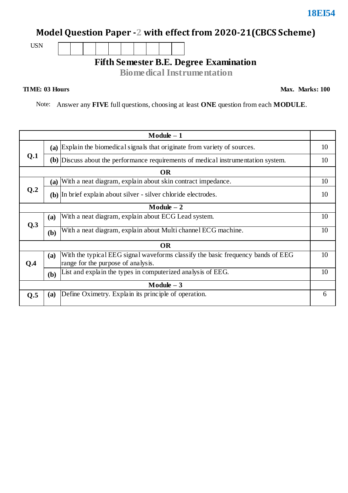# **Model Question Paper -2 with effect from 2020-21(CBCS Scheme)**

USN

## **Fifth Semester B.E. Degree Examination**

**Biomedical Instrumentation**

### **TIME: 03 Hours**

**Max. Marks: 100**

Note: Answer any **FIVE** full questions, choosing at least **ONE** question from each **MODULE**.

|     |            | $Module - 1$                                                                                                          |    |
|-----|------------|-----------------------------------------------------------------------------------------------------------------------|----|
|     | (a)        | Explain the biomedical signals that originate from variety of sources.                                                | 10 |
| Q.1 |            | (b) Discuss about the performance requirements of medical instrumentation system.                                     | 10 |
|     |            | <b>OR</b>                                                                                                             |    |
|     | (a)        | With a neat diagram, explain about skin contract impedance.                                                           | 10 |
| Q.2 |            | (b) In brief explain about silver - silver chloride electrodes.                                                       | 10 |
|     |            | $Module - 2$                                                                                                          |    |
| Q.3 | (a)        | With a neat diagram, explain about ECG Lead system.                                                                   | 10 |
|     | (b)        | With a neat diagram, explain about Multi channel ECG machine.                                                         | 10 |
|     |            | <b>OR</b>                                                                                                             |    |
| Q.4 | <b>(a)</b> | With the typical EEG signal waveforms classify the basic frequency bands of EEG<br>range for the purpose of analysis. | 10 |
|     | (b)        | List and explain the types in computerized analysis of EEG.                                                           | 10 |
|     |            | $Module - 3$                                                                                                          |    |
| Q.5 | (a)        | Define Oximetry. Explain its principle of operation.                                                                  | 6  |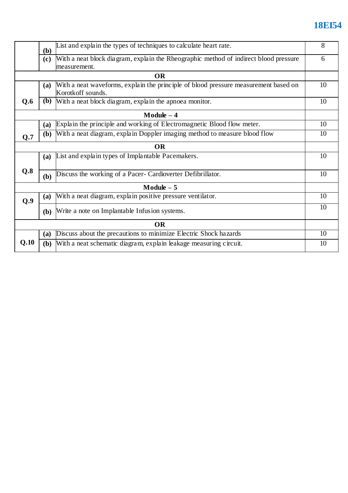# **18EI54**

|      | (b)          | List and explain the types of techniques to calculate heart rate.                                        | 8  |
|------|--------------|----------------------------------------------------------------------------------------------------------|----|
|      | (c)          | With a neat block diagram, explain the Rheographic method of indirect blood pressure<br>measurement.     | 6  |
|      |              | <b>OR</b>                                                                                                |    |
|      | <b>(a)</b>   | With a neat waveforms, explain the principle of blood pressure measurement based on<br>Korotkoff sounds. | 10 |
| Q.6  | ( <b>b</b> ) | With a neat block diagram, explain the apnoea monitor.                                                   | 10 |
|      |              | $Module - 4$                                                                                             |    |
|      | <b>(a)</b>   | Explain the principle and working of Electromagnetic Blood flow meter.                                   | 10 |
| Q.7  | (b)          | With a neat diagram, explain Doppler imaging method to measure blood flow                                | 10 |
|      |              | <b>OR</b>                                                                                                |    |
|      | <b>(a)</b>   | List and explain types of Implantable Pacemakers.                                                        | 10 |
| Q.8  | (b)          | Discuss the working of a Pacer- Cardioverter Defibrillator.                                              | 10 |
|      |              | $Module - 5$                                                                                             |    |
| Q.9  | <b>(a)</b>   | With a neat diagram, explain positive pressure ventilator.                                               | 10 |
|      | <b>(b)</b>   | Write a note on Implantable Infusion systems.                                                            | 10 |
|      |              | <b>OR</b>                                                                                                |    |
|      | (a)          | Discuss about the precautions to minimize Electric Shock hazards                                         | 10 |
| Q.10 | ( <b>b</b> ) | With a neat schematic diagram, explain leakage measuring circuit.                                        | 10 |